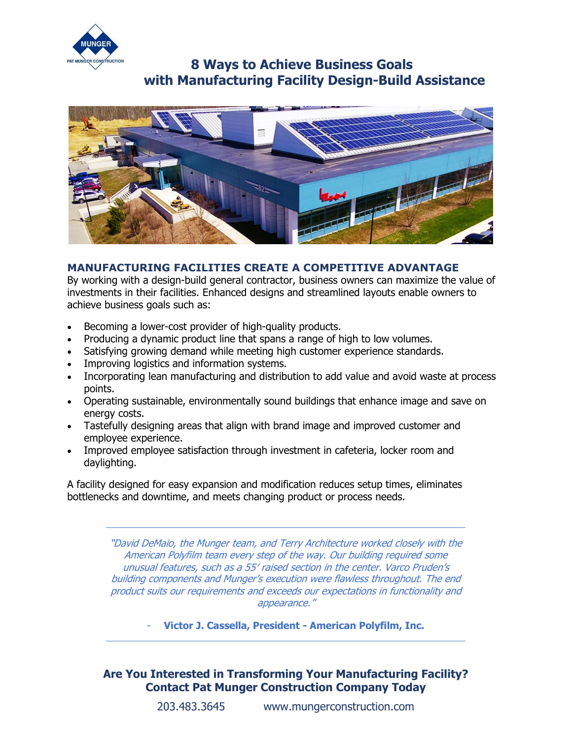

## **8 Ways to Achieve Business Goals with Manufacturing Facility Design-Build Assistance**



### **MANUFACTURING FACILITIES CREATE A COMPETITIVE ADVANTAGE**

By working with a design-build general contractor, business owners can maximize the value of investments in their facilities. Enhanced designs and streamlined layouts enable owners to achieve business goals such as:

- Becoming a lower-cost provider of high-quality products.
- Producing a dynamic product line that spans a range of high to low volumes.
- Satisfying growing demand while meeting high customer experience standards.
- Improving logistics and information systems.
- Incorporating lean manufacturing and distribution to add value and avoid waste at process points.
- Operating sustainable, environmentally sound buildings that enhance image and save on energy costs.
- Tastefully designing areas that align with brand image and improved customer and employee experience.
- Improved employee satisfaction through investment in cafeteria, locker room and daylighting.

A facility designed for easy expansion and modification reduces setup times, eliminates bottlenecks and downtime, and meets changing product or process needs.

> "David DeMaio, the Munger team, and Terry Architecture worked closely with the American Polyfilm team every step of the way. Our building required some unusual features, such as a 55′ raised section in the center. Varco Pruden's building components and Munger's execution were flawless throughout. The end product suits our requirements and exceeds our expectations in functionality and appearance."

> > - **Victor J. Cassella, President - American Polyfilm, Inc.**

### **Are You Interested in Transforming Your Manufacturing Facility? Contact Pat Munger Construction Company Today**